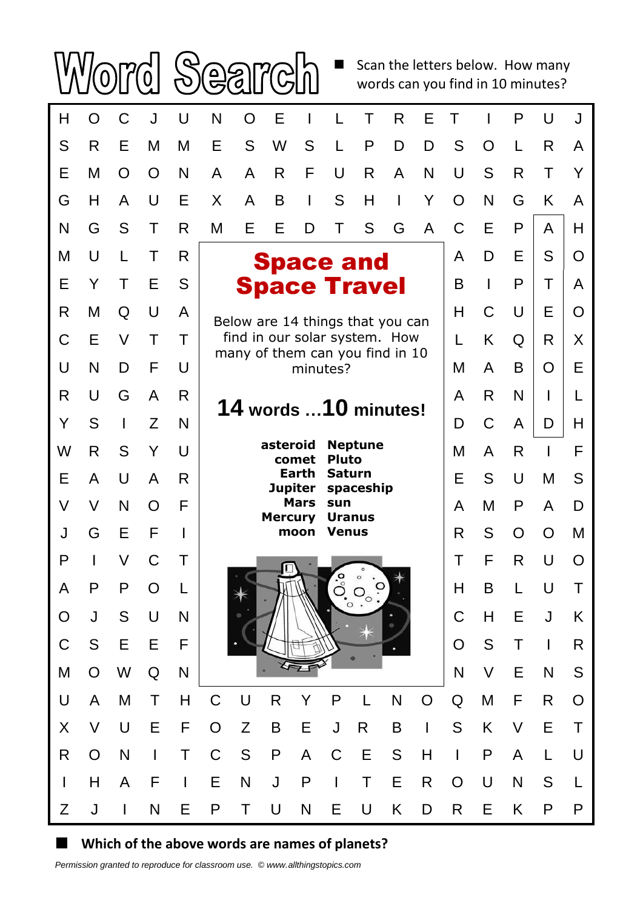$\blacksquare$  Scan the letters below. How many

words can you find in 10 minutes?



## **Which of the above words are names of planets?**

 $\mathcal{S}$ 

(පූ

 $\mathcal{S}$